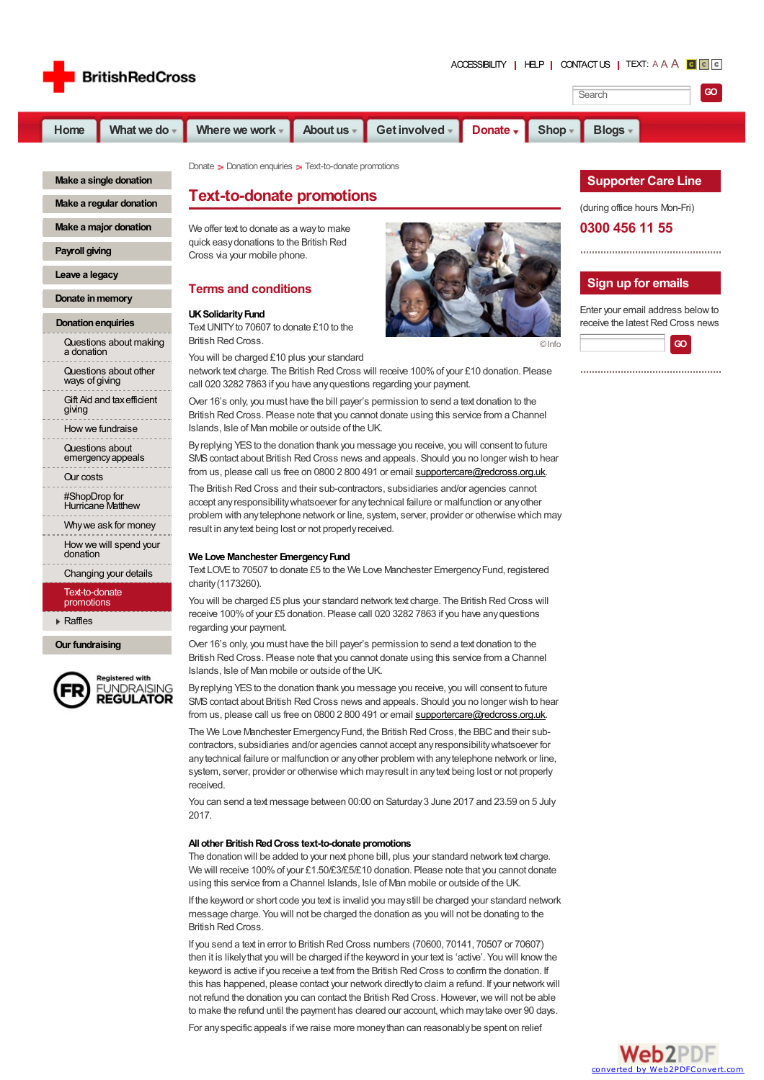



**Make a single [donation](http://www.redcross.org.uk/en/Donate-Now/Make-a-single-donation)**

**Make a regular [donation](http://www.redcross.org.uk/en/Donate-Now/Regular-Giving-Appeals)**

**Make a major [donation](http://www.redcross.org.uk/en/Donate-Now/Make-a-major-donation)**

**[Payroll](http://www.redcross.org.uk/en/Donate-Now/Payroll-giving) giving**

**Leave a [legacy](http://www.redcross.org.uk/en/Donate-Now/Leave-a-legacy)**

**Donate** in memory

#### **Donation enquiries**

[Questions](http://www.redcross.org.uk/en/Donate-Now/Donation-enquiries/Making-a-donation) about making a donation

[Questions](http://www.redcross.org.uk/en/Donate-Now/Donation-enquiries/Questions-about-other-ways-of-giving) about other ways of giving

Gift Aid and [taxefficient](http://www.redcross.org.uk/en/Donate-Now/Donation-enquiries/Gift-Aid-and-tax-efficient-giving) giving

Howwe [fundraise](http://www.redcross.org.uk/en/Donate-Now/Donation-enquiries/Questions-about-how-we-raise-funds)

Questions about [emergencyappeals](http://www.redcross.org.uk/en/Donate-Now/Donation-enquiries/Questions-about-emergency-appeals)

Our [costs](http://www.redcross.org.uk/en/Donate-Now/Donation-enquiries/Questions-about-our-costs)

[#ShopDrop](http://www.redcross.org.uk/en/Donate-Now/Donation-enquiries/Shop-Drop-for-Hurricane-Matthew) for Hurricane Matthew

[Whywe](http://www.redcross.org.uk/en/Donate-Now/Donation-enquiries/Why-we-ask-for-money) ask for money Howwe will spend your

[donation](http://www.redcross.org.uk/en/Donate-Now/Donation-enquiries/How-we-will-spend-your-donation)

# [Changing](http://www.redcross.org.uk/en/Donate-Now/Donation-enquiries/Questions-about-changing-your-details) your details

[Text-to-donate](http://www.redcross.org.uk/en/Donate-Now/Donation-enquiries/Mobile) promotions

**▶ [Raffles](http://www.redcross.org.uk/en/Donate-Now/Donation-enquiries/Raffles)** 

**Our [fundraising](http://www.redcross.org.uk/en/Donate-Now/Our-fundraisers)**



**Registered with FUNDRAISING REGULATOR**  [Donate](http://www.redcross.org.uk/en/Donate-Now) Donation [enquiries](http://www.redcross.org.uk/en/Donate-Now/Donation-enquiries) Direct-to-donate promotions

# **Text-to-donate promotions**

We offer text to donate as a wayto make quick easydonations to the British Red Cross via your mobile phone.

## **Terms and conditions**

# UK Solidarity Fund

Text UNITY to 70607 to donate £10 to the British Red Cross.

You will be charged £10 plus your standard

network text charge. The British Red Cross will receive 100%of your £10 donation. Please call 020 3282 7863 if you have anyquestions regarding your payment.

Over 16's only, you must have the bill payer's permission to send a text donation to the British Red Cross. Please note that you cannot donate using this service from a Channel Islands, Isle of Man mobile or outside of the UK.

By replying YES to the donation thank you message you receive, you will consent to future SMScontact about British Red Cross news and appeals. Should you no longer wish to hear from us, please call us free on 0800 2 800 491 or email [supportercare@redcross.org.uk](mailto:supportercare@redcross.org.uk).

The British Red Cross and their sub-contractors, subsidiaries and/or agencies cannot accept anyresponsibilitywhatsoever for anytechnical failure or malfunction or anyother problem with anytelephone network or line, system, server, provider or otherwise which may result in anytext being lost or not properlyreceived.

#### **We Love Manchester EmergencyFund**

Text LOVE to 70507 to donate £5 to the We Love Manchester Emergency Fund, registered charity(1173260).

You will be charged £5 plus your standard network text charge. The British Red Cross will receive 100%of your £5 donation. Please call 020 3282 7863 if you have anyquestions regarding your payment.

Over 16's only, you must have the bill payer's permission to send a text donation to the British Red Cross. Please note that you cannot donate using this service from a Channel Islands, Isle of Man mobile or outside of the UK.

By replying YES to the donation thank you message you receive, you will consent to future SMS contact about British Red Cross news and appeals. Should you no longer wish to hear from us, please call us free on 0800 2 800 491 or email [supportercare@redcross.org.uk](mailto:supportercare@redcross.org.uk).

The We Love Manchester Emergency Fund, the British Red Cross, the BBC and their subcontractors, subsidiaries and/or agencies cannot accept anyresponsibilitywhatsoever for anytechnical failure or malfunction or anyother problem with anytelephone network or line, system, server, provider or otherwise which mayresult in anytext being lost or not properly received.

You can send a text message between 00:00 on Saturday3 June 2017 and 23.59 on 5 July 2017.

#### **All other BritishRedCross text-to-donate promotions**

The donation will be added to your next phone bill, plus your standard network text charge. We will receive 100% of your £1.50/£3/£5/£10 donation. Please note that you cannot donate using this service from a Channel Islands, Isle of Man mobile or outside of the UK.

If the keyword or short code you text is invalid you maystill be charged your standard network message charge. You will not be charged the donation as you will not be donating to the British Red Cross.

If you send a text in error to British Red Cross numbers (70600, 70141, 70507 or 70607) then it is likelythat you will be charged if the keyword in your text is 'active'. You will knowthe keyword is active if you receive a text from the British Red Cross to confirm the donation. If this has happened, please contact your network directly to claim a refund. If your network will not refund the donation you can contact the British Red Cross. However, we will not be able to make the refund until the payment has cleared our account, which may take over 90 days.

For any specific appeals if we raise more money than can reasonably be spent on relief

# **Supporter Care Line**

(during office hours Mon-Fri)

#### **0300 456 11 55**



### **Sign up for emails**

Enter your email address belowto receive the latest Red Cross news